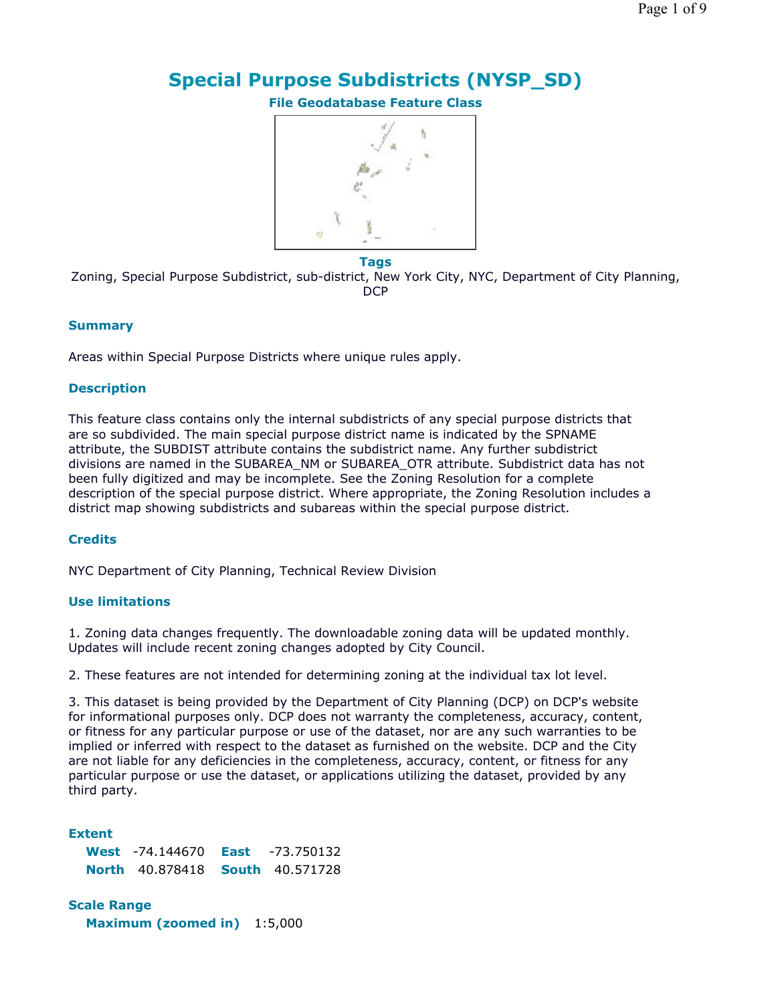# **Special Purpose Subdistricts (NYSP\_SD)**

**File Geodatabase Feature Class**



**Tags**

Zoning, Special Purpose Subdistrict, sub-district, New York City, NYC, Department of City Planning, **DCP** 

### **Summary**

Areas within Special Purpose Districts where unique rules apply.

## **Description**

This feature class contains only the internal subdistricts of any special purpose districts that are so subdivided. The main special purpose district name is indicated by the SPNAME attribute, the SUBDIST attribute contains the subdistrict name. Any further subdistrict divisions are named in the SUBAREA\_NM or SUBAREA\_OTR attribute. Subdistrict data has not been fully digitized and may be incomplete. See the Zoning Resolution for a complete description of the special purpose district. Where appropriate, the Zoning Resolution includes a district map showing subdistricts and subareas within the special purpose district.

## **Credits**

NYC Department of City Planning, Technical Review Division

## **Use limitations**

1. Zoning data changes frequently. The downloadable zoning data will be updated monthly. Updates will include recent zoning changes adopted by City Council.

2. These features are not intended for determining zoning at the individual tax lot level.

3. This dataset is being provided by the Department of City Planning (DCP) on DCP's website for informational purposes only. DCP does not warranty the completeness, accuracy, content, or fitness for any particular purpose or use of the dataset, nor are any such warranties to be implied or inferred with respect to the dataset as furnished on the website. DCP and the City are not liable for any deficiencies in the completeness, accuracy, content, or fitness for any particular purpose or use the dataset, or applications utilizing the dataset, provided by any third party.

**Extent West** -74.144670 **East** -73.750132 **North** 40.878418 **South** 40.571728

**Scale Range Maximum (zoomed in)** 1:5,000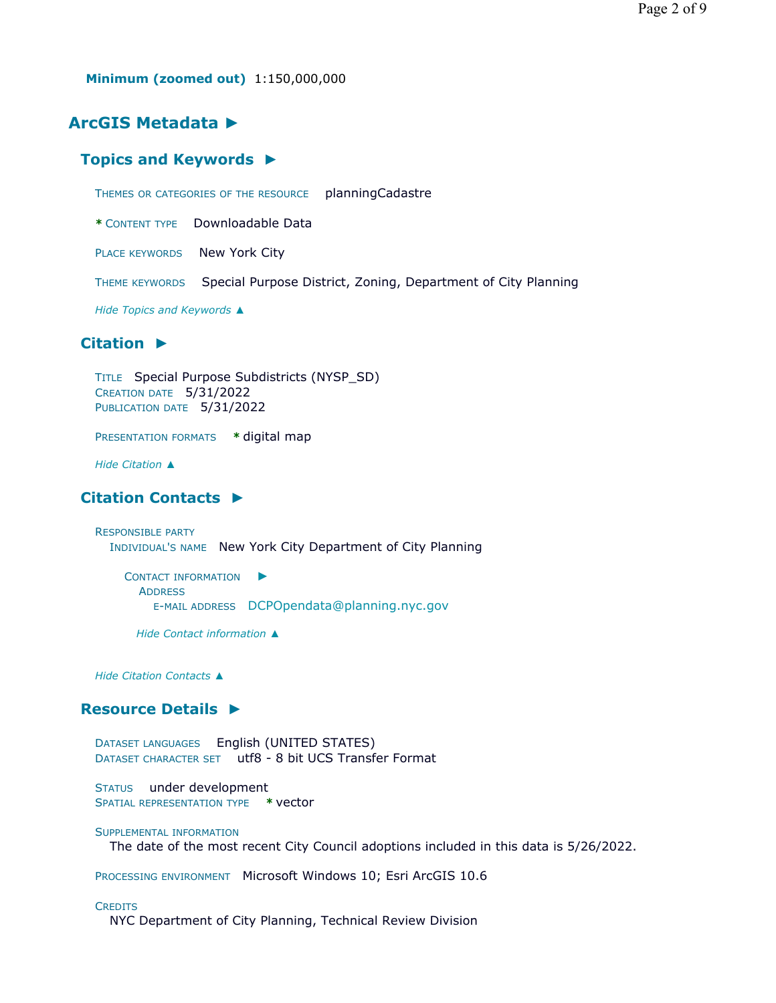**Minimum (zoomed out)** 1:150,000,000

# **ArcGIS Metadata ►**

### **Topics and Keywords ►**

THEMES OR CATEGORIES OF THE RESOURCE planningCadastre

**\*** CONTENT TYPE Downloadable Data

PLACE KEYWORDS New York City

THEME KEYWORDS Special Purpose District, Zoning, Department of City Planning

*Hide Topics and Keywords ▲*

### **Citation ►**

TITLE Special Purpose Subdistricts (NYSP\_SD) CREATION DATE 5/31/2022 PUBLICATION DATE 5/31/2022

PRESENTATION FORMATS **\*** digital map

*Hide Citation ▲*

# **Citation Contacts ►**

RESPONSIBLE PARTY INDIVIDUAL'S NAME New York City Department of City Planning

CONTACT INFORMATION ► ADDRESS E-MAIL ADDRESS DCPOpendata@planning.nyc.gov

*Hide Contact information ▲*

*Hide Citation Contacts ▲*

### **Resource Details ►**

DATASET LANGUAGES English (UNITED STATES) DATASET CHARACTER SET utf8 - 8 bit UCS Transfer Format

STATUS under development SPATIAL REPRESENTATION TYPE **\*** vector

SUPPLEMENTAL INFORMATION

The date of the most recent City Council adoptions included in this data is 5/26/2022.

PROCESSING ENVIRONMENT Microsoft Windows 10; Esri ArcGIS 10.6

#### **CREDITS**

NYC Department of City Planning, Technical Review Division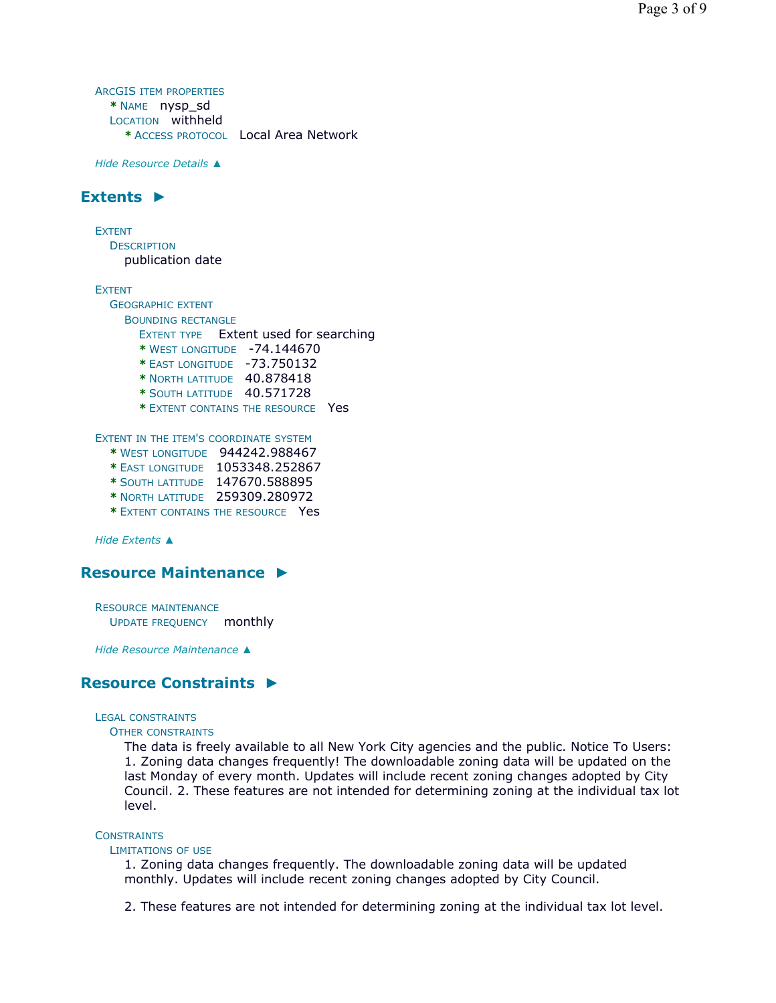ARCGIS ITEM PROPERTIES **\*** NAME nysp\_sd LOCATION withheld **\*** ACCESS PROTOCOL Local Area Network

*Hide Resource Details ▲*

# **Extents ►**

EXTENT **DESCRIPTION** 

publication date

EXTENT

GEOGRAPHIC EXTENT BOUNDING RECTANGLE EXTENT TYPE Extent used for searching **\*** WEST LONGITUDE -74.144670 **\*** EAST LONGITUDE -73.750132 **\*** NORTH LATITUDE 40.878418 **\*** SOUTH LATITUDE 40.571728 **\*** EXTENT CONTAINS THE RESOURCE Yes EXTENT IN THE ITEM'S COORDINATE SYSTEM **\*** WEST LONGITUDE 944242.988467 **\*** EAST LONGITUDE 1053348.252867 **\*** SOUTH LATITUDE 147670.588895 **\*** NORTH LATITUDE 259309.280972 **\*** EXTENT CONTAINS THE RESOURCE Yes

*Hide Extents ▲*

# **Resource Maintenance ►**

RESOURCE MAINTENANCE UPDATE FREQUENCY monthly

*Hide Resource Maintenance ▲*

## **Resource Constraints ►**

LEGAL CONSTRAINTS

#### OTHER CONSTRAINTS

The data is freely available to all New York City agencies and the public. Notice To Users: 1. Zoning data changes frequently! The downloadable zoning data will be updated on the last Monday of every month. Updates will include recent zoning changes adopted by City Council. 2. These features are not intended for determining zoning at the individual tax lot level.

#### **CONSTRAINTS**

#### LIMITATIONS OF USE

1. Zoning data changes frequently. The downloadable zoning data will be updated monthly. Updates will include recent zoning changes adopted by City Council.

2. These features are not intended for determining zoning at the individual tax lot level.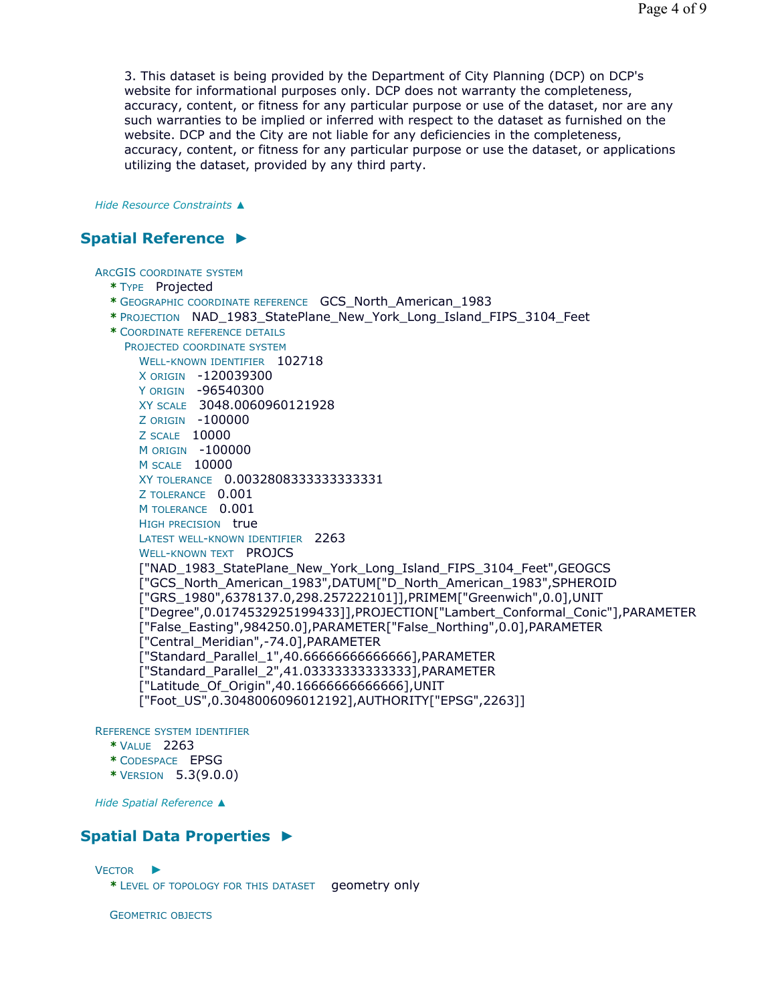3. This dataset is being provided by the Department of City Planning (DCP) on DCP's website for informational purposes only. DCP does not warranty the completeness, accuracy, content, or fitness for any particular purpose or use of the dataset, nor are any such warranties to be implied or inferred with respect to the dataset as furnished on the website. DCP and the City are not liable for any deficiencies in the completeness, accuracy, content, or fitness for any particular purpose or use the dataset, or applications utilizing the dataset, provided by any third party.

*Hide Resource Constraints ▲*

# **Spatial Reference ►**

ARCGIS COORDINATE SYSTEM

- **\*** TYPE Projected
- **\*** GEOGRAPHIC COORDINATE REFERENCE GCS\_North\_American\_1983
- **\*** PROJECTION NAD\_1983\_StatePlane\_New\_York\_Long\_Island\_FIPS\_3104\_Feet
- **\*** COORDINATE REFERENCE DETAILS

```
PROJECTED COORDINATE SYSTEM
  WELL-KNOWN IDENTIFIER 102718
```
X ORIGIN -120039300 Y ORIGIN -96540300 XY SCALE 3048.0060960121928 Z ORIGIN -100000 Z SCALE 10000 M ORIGIN -100000 M SCALE 10000 XY TOLERANCE 0.0032808333333333331 Z TOLERANCE 0.001 M TOLERANCE 0.001 HIGH PRECISION true LATEST WELL-KNOWN IDENTIFIER 2263 WELL-KNOWN TEXT PROJCS ["NAD\_1983\_StatePlane\_New\_York\_Long\_Island\_FIPS\_3104\_Feet",GEOGCS ["GCS\_North\_American\_1983",DATUM["D\_North\_American\_1983",SPHEROID ["GRS\_1980",6378137.0,298.257222101]],PRIMEM["Greenwich",0.0],UNIT ["Degree",0.0174532925199433]],PROJECTION["Lambert\_Conformal\_Conic"],PARAMETER ["False\_Easting",984250.0],PARAMETER["False\_Northing",0.0],PARAMETER ["Central\_Meridian",-74.0],PARAMETER ["Standard\_Parallel\_1",40.66666666666666],PARAMETER ["Standard\_Parallel\_2",41.03333333333333],PARAMETER ["Latitude\_Of\_Origin",40.16666666666666],UNIT ["Foot\_US",0.3048006096012192],AUTHORITY["EPSG",2263]]

REFERENCE SYSTEM IDENTIFIER

- **\*** VALUE 2263
- **\*** CODESPACE EPSG
- **\*** VERSION 5.3(9.0.0)

*Hide Spatial Reference ▲*

# **Spatial Data Properties ►**

```
VECTOR
►
```
**\*** LEVEL OF TOPOLOGY FOR THIS DATASET geometry only

GEOMETRIC OBJECTS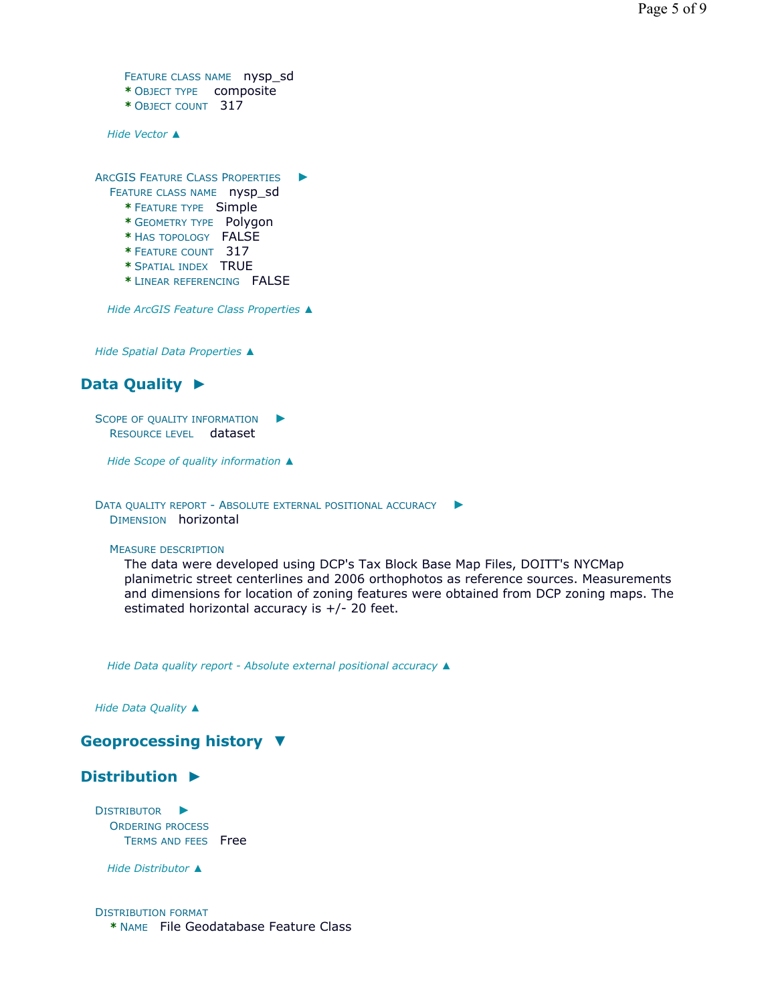```
FEATURE CLASS NAME nysp sd
* OBJECT TYPE composite 
* OBJECT COUNT 317
```
*Hide Vector ▲*

ARCGIS FEATURE CLASS PROPERTIES ►

- FEATURE CLASS NAME nysp\_sd
	- **\*** FEATURE TYPE Simple
	- **\*** GEOMETRY TYPE Polygon
	- **\*** HAS TOPOLOGY FALSE
	- **\*** FEATURE COUNT 317
	- **\*** SPATIAL INDEX TRUE
	- **\*** LINEAR REFERENCING FALSE

*Hide ArcGIS Feature Class Properties ▲*

*Hide Spatial Data Properties ▲*

# **Data Quality ►**

SCOPE OF QUALITY INFORMATION ▶ RESOURCE LEVEL dataset

*Hide Scope of quality information ▲*

DATA QUALITY REPORT - ABSOLUTE EXTERNAL POSITIONAL ACCURACY ► DIMENSION horizontal

#### MEASURE DESCRIPTION

The data were developed using DCP's Tax Block Base Map Files, DOITT's NYCMap planimetric street centerlines and 2006 orthophotos as reference sources. Measurements and dimensions for location of zoning features were obtained from DCP zoning maps. The estimated horizontal accuracy is +/- 20 feet.

*Hide Data quality report - Absolute external positional accuracy ▲*

*Hide Data Quality ▲*

# **Geoprocessing history ▼**

# **Distribution ►**

DISTRIBUTOR ► ORDERING PROCESS TERMS AND FEES Free

*Hide Distributor ▲*

#### DISTRIBUTION FORMAT **\*** NAME File Geodatabase Feature Class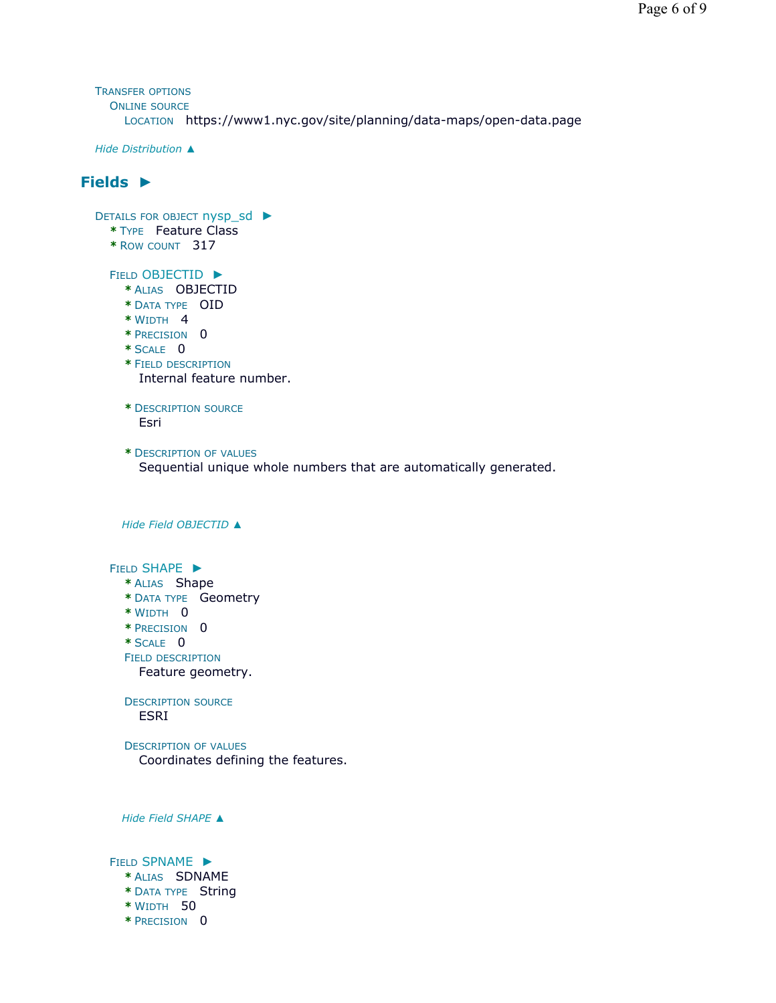TRANSFER OPTIONS ONLINE SOURCE LOCATION https://www1.nyc.gov/site/planning/data-maps/open-data.page

*Hide Distribution ▲*

# **Fields ►**

| DETAILS FOR OBJECT nysp_sd ▶<br>* TYPE Feature Class<br>* ROW COUNT 317                                                                                          |
|------------------------------------------------------------------------------------------------------------------------------------------------------------------|
| <b>FIELD OBJECTID ▶</b><br>* ALIAS OBJECTID<br>* DATA TYPE OID<br>$*$ WIDTH 4<br>* PRECISION 0<br>$*$ SCALE 0<br>* FIELD DESCRIPTION<br>Internal feature number. |
| * DESCRIPTION SOURCE<br>Esri                                                                                                                                     |
| * DESCRIPTION OF VALUES<br>Sequential unique whole numbers that are automatically generated.                                                                     |
| Hide Field OBJECTID A                                                                                                                                            |
| FIELD SHAPE ><br>* ALIAS Shape<br>* DATA TYPE Geometry<br>* WIDTH 0<br>* PRECISION 0<br>* SCALE 0<br><b>FIELD DESCRIPTION</b><br>Feature geometry.               |
| <b>DESCRIPTION SOURCE</b><br><b>ESRI</b>                                                                                                                         |
| <b>DESCRIPTION OF VALUES</b><br>Coordinates defining the features.                                                                                               |
| Hide Field SHAPE A                                                                                                                                               |
| FIELD SPNAME >                                                                                                                                                   |

- **\*** ALIAS SDNAME
- **\*** DATA TYPE String
- **\*** WIDTH 50
- **\*** PRECISION 0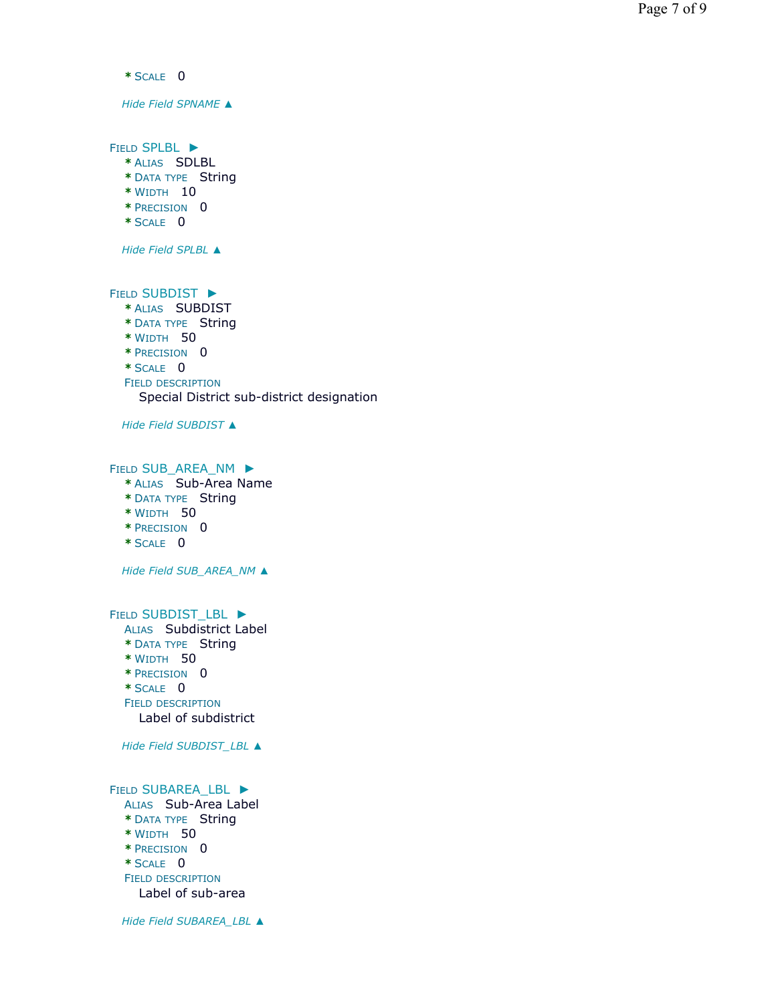**\*** SCALE 0 *Hide Field SPNAME ▲* FIELD SPLBL ► **\*** ALIAS SDLBL **\*** DATA TYPE String **\*** WIDTH 10 **\*** PRECISION 0 **\*** SCALE 0 *Hide Field SPLBL ▲* FIELD SUBDIST ► **\*** ALIAS SUBDIST **\*** DATA TYPE String **\*** WIDTH 50 **\*** PRECISION 0 **\*** SCALE 0 FIELD DESCRIPTION *Hide Field SUBDIST ▲* FIELD SUB\_AREA\_NM ▶ **\*** ALIAS Sub-Area Name **\*** DATA TYPE String **\*** WIDTH 50 **\*** PRECISION 0 **\*** SCALE 0 *Hide Field SUB\_AREA\_NM ▲* FIELD SUBDIST\_LBL ▶ ALIAS Subdistrict Label **\*** DATA TYPE String **\*** WIDTH 50 **\*** PRECISION 0 **\*** SCALE 0 FIELD DESCRIPTION *Hide Field SUBDIST\_LBL ▲* FIELD SUBAREA\_LBL ▶ ALIAS Sub-Area Label **\*** DATA TYPE String **\*** WIDTH 50 **\*** PRECISION 0 **\*** SCALE 0 FIELD DESCRIPTION Special District sub-district designation Label of subdistrict Label of sub-area

*Hide Field SUBAREA\_LBL ▲*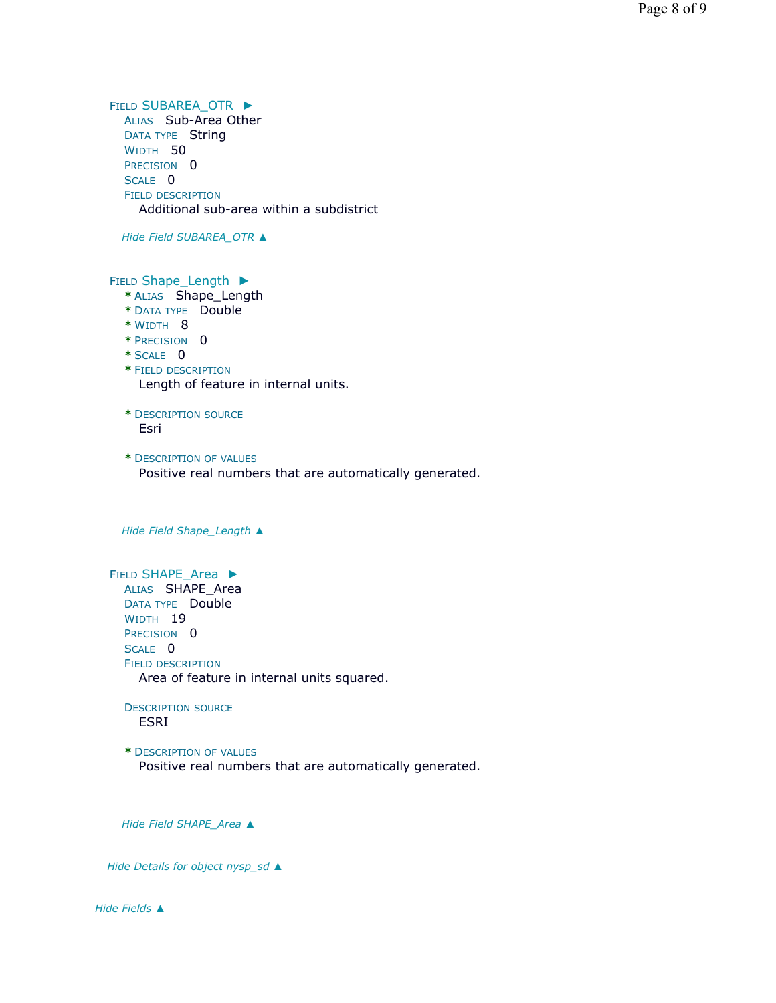FIELD SUBAREA\_OTR ▶ ALIAS Sub-Area Other DATA TYPE String WIDTH 50 PRECISION<sub>0</sub> SCALE 0 FIELD DESCRIPTION Additional sub-area within a subdistrict

*Hide Field SUBAREA\_OTR ▲*

FIELD Shape\_Length ▶

- **\*** ALIAS Shape\_Length
- **\*** DATA TYPE Double
- **\*** WIDTH 8
- **\*** PRECISION 0
- **\*** SCALE 0
- **\*** FIELD DESCRIPTION Length of feature in internal units.
- **\*** DESCRIPTION SOURCE Esri
- **\*** DESCRIPTION OF VALUES Positive real numbers that are automatically generated.

*Hide Field Shape\_Length ▲*

FIELD SHAPE\_Area ▶ ALIAS SHAPE Area DATA TYPE Double WIDTH 19 PRECISION 0 SCALE 0 FIELD DESCRIPTION Area of feature in internal units squared.

DESCRIPTION SOURCE ESRI

**\*** DESCRIPTION OF VALUES Positive real numbers that are automatically generated.

*Hide Field SHAPE\_Area ▲*

*Hide Details for object nysp\_sd ▲*